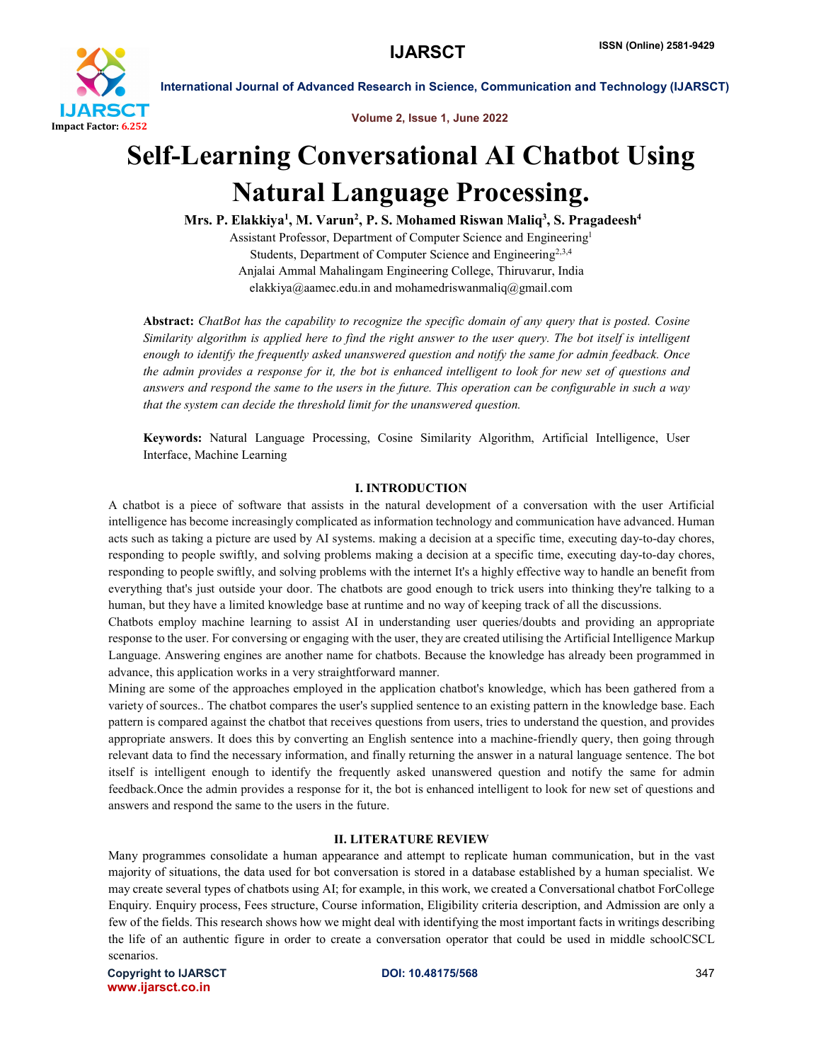

Volume 2, Issue 1, June 2022

# Self-Learning Conversational AI Chatbot Using Natural Language Processing.

Mrs. P. Elakkiya<sup>1</sup>, M. Varun<sup>2</sup>, P. S. Mohamed Riswan Maliq<sup>3</sup>, S. Pragadeesh<sup>4</sup>

Assistant Professor, Department of Computer Science and Engineering1 Students, Department of Computer Science and Engineering<sup>2,3,4</sup> Anjalai Ammal Mahalingam Engineering College, Thiruvarur, India elakkiya@aamec.edu.in and mohamedriswanmaliq@gmail.com

Abstract: *ChatBot has the capability to recognize the specific domain of any query that is posted. Cosine Similarity algorithm is applied here to find the right answer to the user query. The bot itself is intelligent enough to identify the frequently asked unanswered question and notify the same for admin feedback. Once the admin provides a response for it, the bot is enhanced intelligent to look for new set of questions and answers and respond the same to the users in the future. This operation can be configurable in such a way that the system can decide the threshold limit for the unanswered question.*

Keywords: Natural Language Processing, Cosine Similarity Algorithm, Artificial Intelligence, User Interface, Machine Learning

### I. INTRODUCTION

A chatbot is a piece of software that assists in the natural development of a conversation with the user Artificial intelligence has become increasingly complicated as information technology and communication have advanced. Human acts such as taking a picture are used by AI systems. making a decision at a specific time, executing day-to-day chores, responding to people swiftly, and solving problems making a decision at a specific time, executing day-to-day chores, responding to people swiftly, and solving problems with the internet It's a highly effective way to handle an benefit from everything that's just outside your door. The chatbots are good enough to trick users into thinking they're talking to a human, but they have a limited knowledge base at runtime and no way of keeping track of all the discussions.

Chatbots employ machine learning to assist AI in understanding user queries/doubts and providing an appropriate response to the user. For conversing or engaging with the user, they are created utilising the Artificial Intelligence Markup Language. Answering engines are another name for chatbots. Because the knowledge has already been programmed in advance, this application works in a very straightforward manner.

Mining are some of the approaches employed in the application chatbot's knowledge, which has been gathered from a variety of sources.. The chatbot compares the user's supplied sentence to an existing pattern in the knowledge base. Each pattern is compared against the chatbot that receives questions from users, tries to understand the question, and provides appropriate answers. It does this by converting an English sentence into a machine-friendly query, then going through relevant data to find the necessary information, and finally returning the answer in a natural language sentence. The bot itself is intelligent enough to identify the frequently asked unanswered question and notify the same for admin feedback.Once the admin provides a response for it, the bot is enhanced intelligent to look for new set of questions and answers and respond the same to the users in the future.

# II. LITERATURE REVIEW

Many programmes consolidate a human appearance and attempt to replicate human communication, but in the vast majority of situations, the data used for bot conversation is stored in a database established by a human specialist. We may create several types of chatbots using AI; for example, in this work, we created a Conversational chatbot ForCollege Enquiry. Enquiry process, Fees structure, Course information, Eligibility criteria description, and Admission are only a few of the fields. This research shows how we might deal with identifying the most important facts in writings describing the life of an authentic figure in order to create a conversation operator that could be used in middle schoolCSCL scenarios.

Copyright to IJARSCT **DOI: 10.48175/568** 347 www.ijarsct.co.in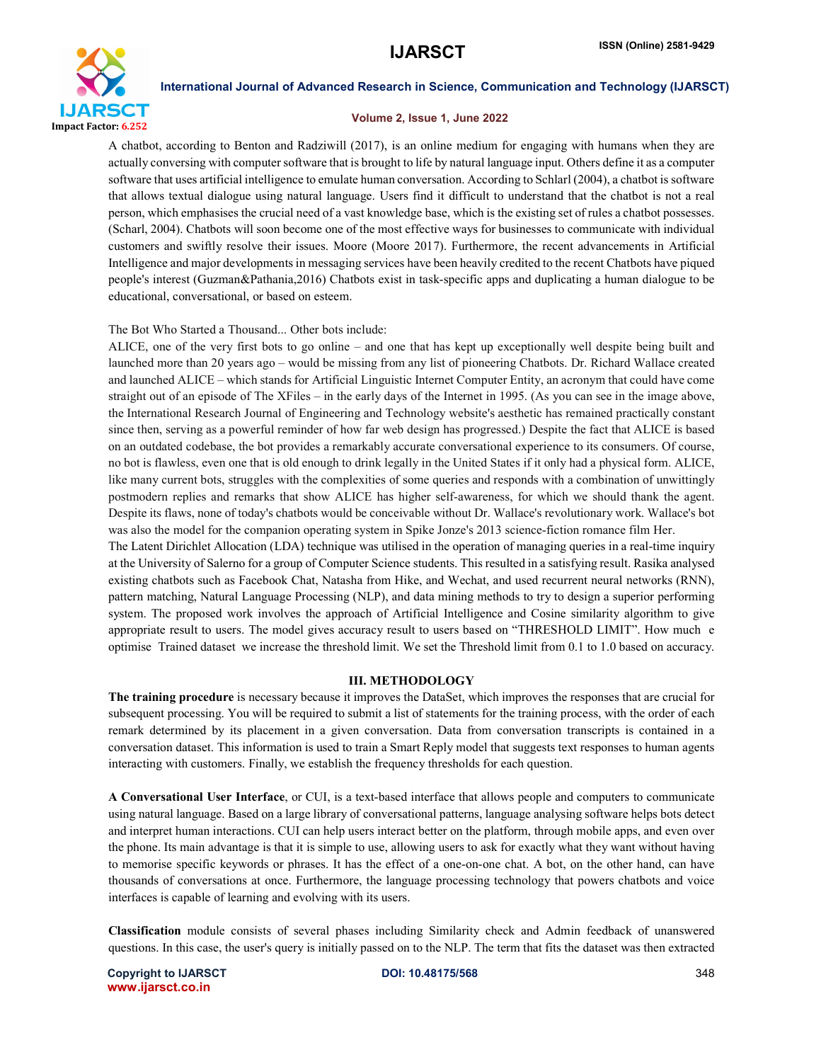

## Volume 2, Issue 1, June 2022

A chatbot, according to Benton and Radziwill (2017), is an online medium for engaging with humans when they are actually conversing with computer software that is brought to life by natural language input. Others define it as a computer software that uses artificial intelligence to emulate human conversation. According to Schlarl (2004), a chatbot is software that allows textual dialogue using natural language. Users find it difficult to understand that the chatbot is not a real person, which emphasises the crucial need of a vast knowledge base, which is the existing set of rules a chatbot possesses. (Scharl, 2004). Chatbots will soon become one of the most effective ways for businesses to communicate with individual customers and swiftly resolve their issues. Moore (Moore 2017). Furthermore, the recent advancements in Artificial Intelligence and major developments in messaging services have been heavily credited to the recent Chatbots have piqued people's interest (Guzman&Pathania,2016) Chatbots exist in task-specific apps and duplicating a human dialogue to be educational, conversational, or based on esteem.

## The Bot Who Started a Thousand... Other bots include:

ALICE, one of the very first bots to go online – and one that has kept up exceptionally well despite being built and launched more than 20 years ago – would be missing from any list of pioneering Chatbots. Dr. Richard Wallace created and launched ALICE – which stands for Artificial Linguistic Internet Computer Entity, an acronym that could have come straight out of an episode of The XFiles – in the early days of the Internet in 1995. (As you can see in the image above, the International Research Journal of Engineering and Technology website's aesthetic has remained practically constant since then, serving as a powerful reminder of how far web design has progressed.) Despite the fact that ALICE is based on an outdated codebase, the bot provides a remarkably accurate conversational experience to its consumers. Of course, no bot is flawless, even one that is old enough to drink legally in the United States if it only had a physical form. ALICE, like many current bots, struggles with the complexities of some queries and responds with a combination of unwittingly postmodern replies and remarks that show ALICE has higher self-awareness, for which we should thank the agent. Despite its flaws, none of today's chatbots would be conceivable without Dr. Wallace's revolutionary work. Wallace's bot was also the model for the companion operating system in Spike Jonze's 2013 science-fiction romance film Her.

The Latent Dirichlet Allocation (LDA) technique was utilised in the operation of managing queries in a real-time inquiry at the University of Salerno for a group of Computer Science students. This resulted in a satisfying result. Rasika analysed existing chatbots such as Facebook Chat, Natasha from Hike, and Wechat, and used recurrent neural networks (RNN), pattern matching, Natural Language Processing (NLP), and data mining methods to try to design a superior performing system. The proposed work involves the approach of Artificial Intelligence and Cosine similarity algorithm to give appropriate result to users. The model gives accuracy result to users based on "THRESHOLD LIMIT". How much e optimise Trained dataset we increase the threshold limit. We set the Threshold limit from 0.1 to 1.0 based on accuracy.

## III. METHODOLOGY

The training procedure is necessary because it improves the DataSet, which improves the responses that are crucial for subsequent processing. You will be required to submit a list of statements for the training process, with the order of each remark determined by its placement in a given conversation. Data from conversation transcripts is contained in a conversation dataset. This information is used to train a Smart Reply model that suggests text responses to human agents interacting with customers. Finally, we establish the frequency thresholds for each question.

A Conversational User Interface, or CUI, is a text-based interface that allows people and computers to communicate using natural language. Based on a large library of conversational patterns, language analysing software helps bots detect and interpret human interactions. CUI can help users interact better on the platform, through mobile apps, and even over the phone. Its main advantage is that it is simple to use, allowing users to ask for exactly what they want without having to memorise specific keywords or phrases. It has the effect of a one-on-one chat. A bot, on the other hand, can have thousands of conversations at once. Furthermore, the language processing technology that powers chatbots and voice interfaces is capable of learning and evolving with its users.

Classification module consists of several phases including Similarity check and Admin feedback of unanswered questions. In this case, the user's query is initially passed on to the NLP. The term that fits the dataset was then extracted

Copyright to IJARSCT **DOI: 10.48175/568** 348 www.ijarsct.co.in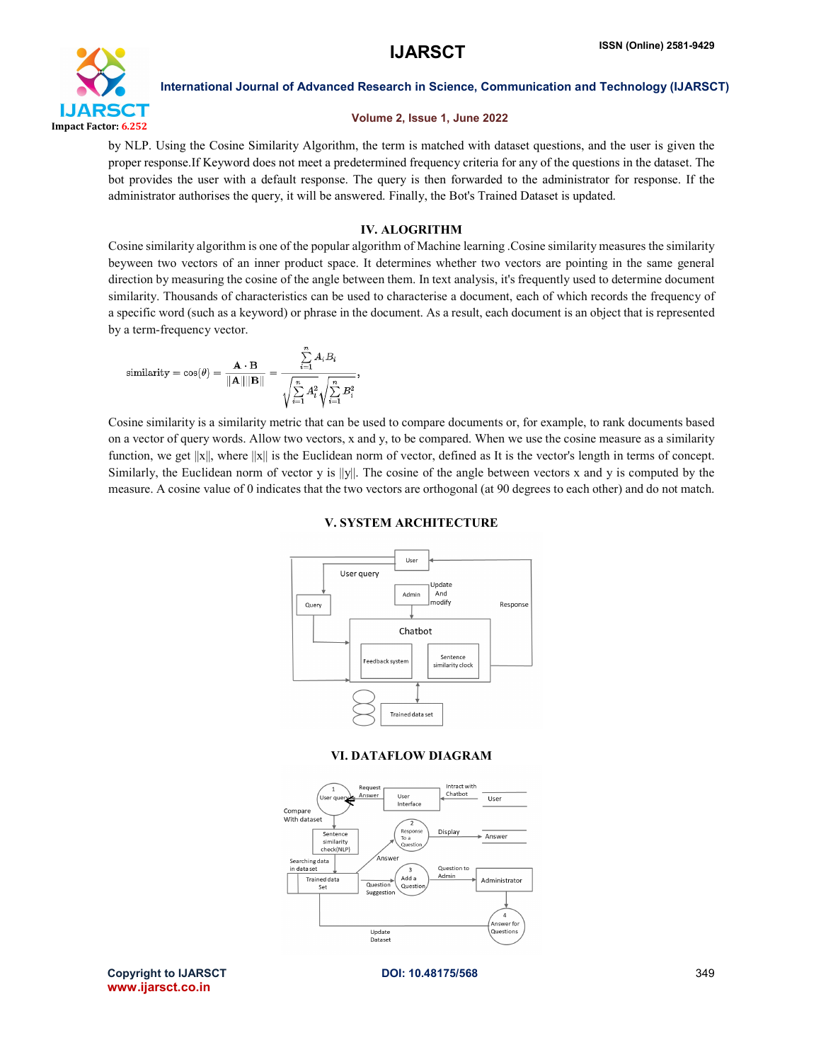

# Volume 2, Issue 1, June 2022

by NLP. Using the Cosine Similarity Algorithm, the term is matched with dataset questions, and the user is given the proper response.If Keyword does not meet a predetermined frequency criteria for any of the questions in the dataset. The bot provides the user with a default response. The query is then forwarded to the administrator for response. If the administrator authorises the query, it will be answered. Finally, the Bot's Trained Dataset is updated.

# IV. ALOGRITHM

Cosine similarity algorithm is one of the popular algorithm of Machine learning .Cosine similarity measures the similarity beyween two vectors of an inner product space. It determines whether two vectors are pointing in the same general direction by measuring the cosine of the angle between them. In text analysis, it's frequently used to determine document similarity. Thousands of characteristics can be used to characterise a document, each of which records the frequency of a specific word (such as a keyword) or phrase in the document. As a result, each document is an object that is represented by a term-frequency vector.

$$
\text{similarity} = \cos(\theta) = \frac{\mathbf{A} \cdot \mathbf{B}}{\|\mathbf{A}\| \|\mathbf{B}\|} = \frac{\sum_{i=1}^{n} A_i B_i}{\sqrt{\sum_{i=1}^{n} A_i^2} \sqrt{\sum_{i=1}^{n} B_i^2}},
$$

Cosine similarity is a similarity metric that can be used to compare documents or, for example, to rank documents based on a vector of query words. Allow two vectors, x and y, to be compared. When we use the cosine measure as a similarity function, we get  $||x||$ , where  $||x||$  is the Euclidean norm of vector, defined as It is the vector's length in terms of concept. Similarly, the Euclidean norm of vector y is  $||y||$ . The cosine of the angle between vectors x and y is computed by the measure. A cosine value of 0 indicates that the two vectors are orthogonal (at 90 degrees to each other) and do not match.

# V. SYSTEM ARCHITECTURE



# VI. DATAFLOW DIAGRAM



Copyright to IJARSCT **DOI: 10.48175/568** 349 www.ijarsct.co.in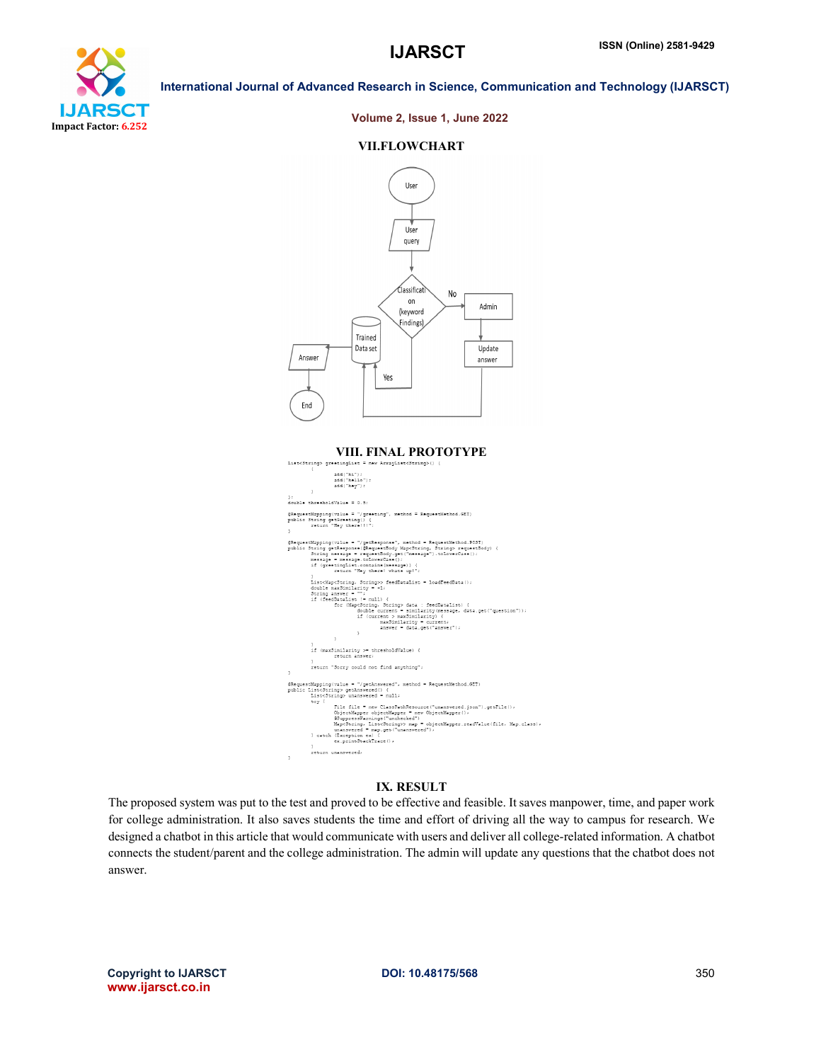

### Volume 2, Issue 1, June 2022

### VII.FLOWCHART



# VIII. FINAL PROTOTYPE

| VIII. FINAL I NOTOT IT E                                                                  |  |  |
|-------------------------------------------------------------------------------------------|--|--|
| List <string> qreetingList = new ArrayList<string>() {</string></string>                  |  |  |
|                                                                                           |  |  |
| add("hi");                                                                                |  |  |
| add("hello");                                                                             |  |  |
| add ("hey");                                                                              |  |  |
|                                                                                           |  |  |
| $\frac{1}{2}$                                                                             |  |  |
| double thresholdValue = 0.5;                                                              |  |  |
| @RequestMapping(value = "/greeting", method = RequestMethod.GET)                          |  |  |
| public String getGreeting() {                                                             |  |  |
| return "Hey there!!!";                                                                    |  |  |
|                                                                                           |  |  |
|                                                                                           |  |  |
| @RequestMapping(value = "/getResponse", method = RequestMethod.POST)                      |  |  |
| public String getResponse (@RequestBody Map <string, string=""> requestBody) {</string,>  |  |  |
| String message = requestBody.get("message").toLowerCase();                                |  |  |
| message = message.toLowerCase();                                                          |  |  |
| if (qreetingList.contains(message)) {                                                     |  |  |
| return "Hey there! whats up!";                                                            |  |  |
|                                                                                           |  |  |
| List <map<string, string="">&gt; feedDataList = loadFeedData();</map<string,>             |  |  |
| double maxSimilarity = -1;                                                                |  |  |
| String answer = $"$ ;<br>if (feedDataList != null) {                                      |  |  |
| for (Map <string, string=""> data : feedDataList) {</string,>                             |  |  |
| double current = similarity(message, data.get("question"));                               |  |  |
| if (current > maxSimilarity) {                                                            |  |  |
| maxSimilarity = current;                                                                  |  |  |
| answer = data.get("answer");                                                              |  |  |
| ş.                                                                                        |  |  |
| 3                                                                                         |  |  |
|                                                                                           |  |  |
| if (maxSimilarity >= thresholdValue) {                                                    |  |  |
| return answer:                                                                            |  |  |
| х                                                                                         |  |  |
| return "Sorry could not find anything";                                                   |  |  |
| ş                                                                                         |  |  |
| @RequestMapping(value = "/getAnswered", method = RequestMethod.GET)                       |  |  |
| public List <string> getAnswered() {</string>                                             |  |  |
| List <string> unanswered = null;</string>                                                 |  |  |
| try (                                                                                     |  |  |
| File file = new ClassPathResource("unanswered.json").getFile();                           |  |  |
| ObjectMapper objectMapper = new ObjectMapper();                                           |  |  |
| @SuppressWarnings ("unchecked")                                                           |  |  |
| Map <string, list<string="">&gt; map = objectMapper.readValue(file, Map.class);</string,> |  |  |
| unanswered = map.get("unanswered");                                                       |  |  |
| } catch (Exception ex) {                                                                  |  |  |
| ex.printStackTrace();                                                                     |  |  |
|                                                                                           |  |  |
| return unanswered:                                                                        |  |  |
| ş                                                                                         |  |  |

# IX. RESULT

The proposed system was put to the test and proved to be effective and feasible. It saves manpower, time, and paper work for college administration. It also saves students the time and effort of driving all the way to campus for research. We designed a chatbot in this article that would communicate with users and deliver all college-related information. A chatbot connects the student/parent and the college administration. The admin will update any questions that the chatbot does not answer.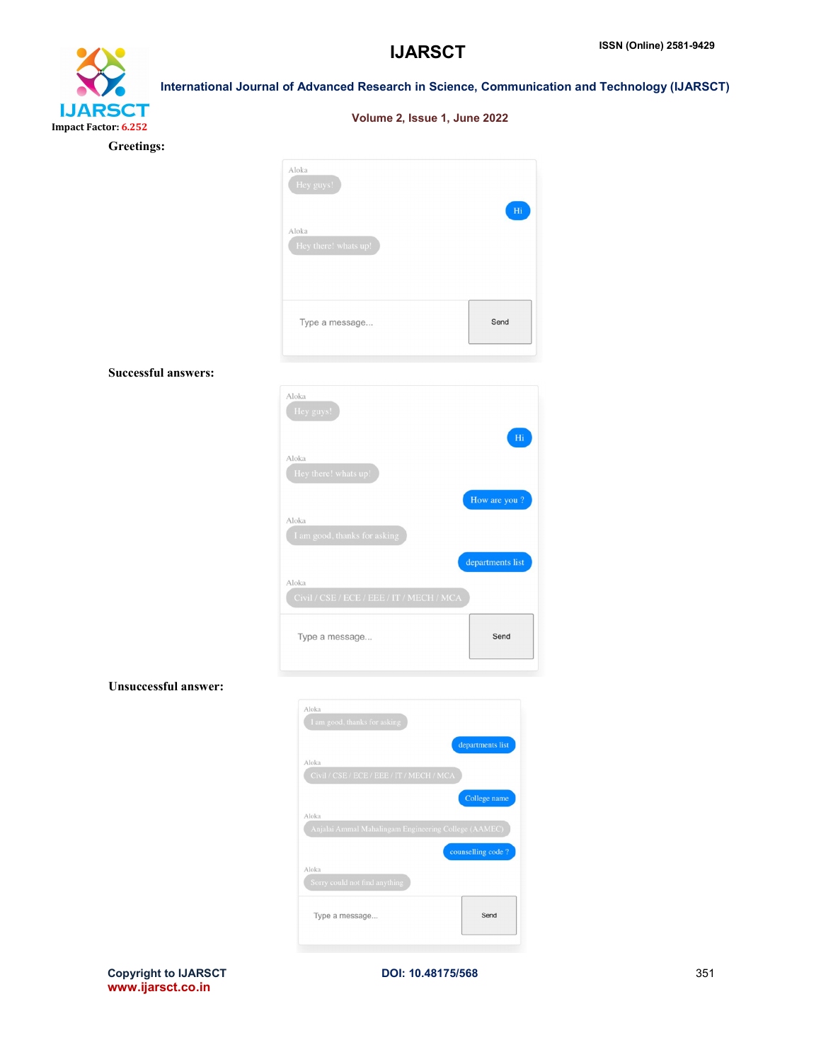# **IJARSCT** Impact Factor: 6.252 Greeting

| International Journal of Advanced Research in Science, Communication and Technology (IJARSCT) |                               |  |  |
|-----------------------------------------------------------------------------------------------|-------------------------------|--|--|
|                                                                                               | Volume 2, Issue 1, June 2022  |  |  |
| s:                                                                                            |                               |  |  |
|                                                                                               | Aloka<br>Hey guys!            |  |  |
|                                                                                               | Hi                            |  |  |
|                                                                                               | Aloka<br>Hey there! whats up! |  |  |

Type a message...

Successful answers:

| Aloka<br>Hey guys!                                 | Hi               |
|----------------------------------------------------|------------------|
| Aloka<br>Hey there! whats up!                      |                  |
| Aloka                                              | How are you?     |
| I am good, thanks for asking                       | departments list |
| Aloka<br>Civil / CSE / ECE / EEE / IT / MECH / MCA |                  |
| Type a message                                     | Send             |

Send

# Unsuccessful answer:

| Aloka                                                |                   |
|------------------------------------------------------|-------------------|
| I am good, thanks for asking                         |                   |
|                                                      | departments list  |
| Aloka                                                |                   |
| Civil / CSE / ECE / EEE / IT / MECH / MCA            |                   |
|                                                      | College name      |
| Aloka                                                |                   |
| Anjalai Ammal Mahalingam Engineering College (AAMEC) |                   |
|                                                      | counselling code? |
| Aloka                                                |                   |
| Sorry could not find anything                        |                   |
| Type a message                                       | Send              |
|                                                      |                   |

Copyright to IJARSCT **DOI: 10.48175/568** 351 www.ijarsct.co.in